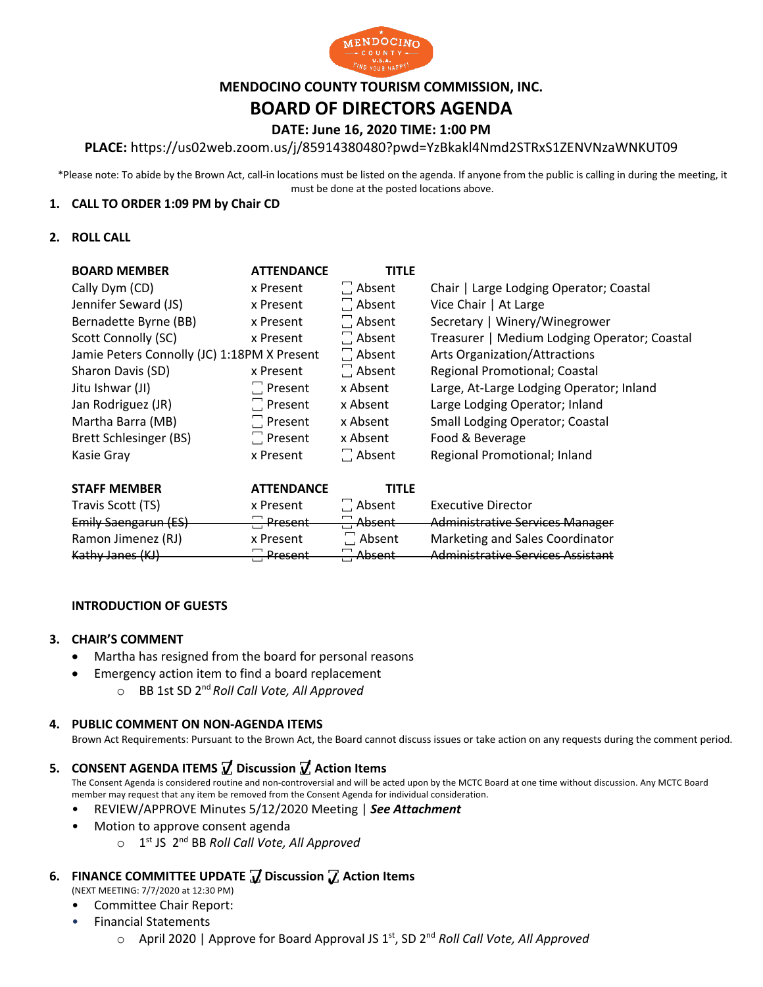

## **MENDOCINO COUNTY TOURISM COMMISSION, INC.**

# **BOARD OF DIRECTORS AGENDA**

# **DATE: June 16, 2020 TIME: 1:00 PM**

### **PLACE:** https://us02web.zoom.us/j/85914380480?pwd=YzBkakl4Nmd2STRxS1ZENVNzaWNKUT09

\*Please note: To abide by the Brown Act, call-in locations must be listed on the agenda. If anyone from the public is calling in during the meeting, it must be done at the posted locations above.

#### **1. CALL TO ORDER 1:09 PM by Chair CD**

#### **2. ROLL CALL**

| <b>BOARD MEMBER</b>                         | <b>ATTENDANCE</b> | <b>TITLE</b>  |                                              |  |
|---------------------------------------------|-------------------|---------------|----------------------------------------------|--|
| Cally Dym (CD)                              | x Present         | $\Box$ Absent | Chair   Large Lodging Operator; Coastal      |  |
| Jennifer Seward (JS)                        | x Present         | $\Box$ Absent | Vice Chair   At Large                        |  |
| Bernadette Byrne (BB)                       | x Present         | $\Box$ Absent | Secretary   Winery/Winegrower                |  |
| Scott Connolly (SC)                         | x Present         | $\Box$ Absent | Treasurer   Medium Lodging Operator; Coastal |  |
| Jamie Peters Connolly (JC) 1:18PM X Present |                   | $\Box$ Absent | Arts Organization/Attractions                |  |
| Sharon Davis (SD)                           | x Present         | $\Box$ Absent | Regional Promotional; Coastal                |  |
| Jitu Ishwar (JI)                            | $\Box$ Present    | x Absent      | Large, At-Large Lodging Operator; Inland     |  |
| Jan Rodriguez (JR)                          | $\Box$ Present    | x Absent      | Large Lodging Operator; Inland               |  |
| Martha Barra (MB)                           | $\Box$ Present    | x Absent      | <b>Small Lodging Operator; Coastal</b>       |  |
| Brett Schlesinger (BS)                      | $\Box$ Present    | x Absent      | Food & Beverage                              |  |
| Kasie Gray                                  | x Present         | $\Box$ Absent | Regional Promotional; Inland                 |  |

| <b>STAFF MEMBER</b>  | <b>ATTENDANCE</b>                    | <b>TITLE</b>                |                                          |
|----------------------|--------------------------------------|-----------------------------|------------------------------------------|
| Travis Scott (TS)    | x Present                            | $\Box$ Absent               | <b>Executive Director</b>                |
| Emily Saengarun (ES) | <b>Present</b>                       | Absent                      | <b>Administrative Services Manager</b>   |
| Ramon Jimenez (RJ)   | x Present                            | $\Box$ Absent               | Marketing and Sales Coordinator          |
| Kathy Janes (KJ)     | <b>Drocont</b><br><del>ricscht</del> | Ahcont<br><del>nuscht</del> | <b>Administrative Services Assistant</b> |

#### **INTRODUCTION OF GUESTS**

#### **3. CHAIR'S COMMENT**

- Martha has resigned from the board for personal reasons
	- Emergency action item to find a board replacement
		- o BB 1st SD 2nd *Roll Call Vote, All Approved*

#### **4. PUBLIC COMMENT ON NON-AGENDA ITEMS**

Brown Act Requirements: Pursuant to the Brown Act, the Board cannot discuss issues or take action on any requests during the comment period.

## **5. CONSENT AGENDA ITEMS ꙱ Discussion ꙱ Action Items**

The Consent Agenda is considered routine and non-controversial and will be acted upon by the MCTC Board at one time without discussion. Any MCTC Board member may request that any item be removed from the Consent Agenda for individual consideration.

- REVIEW/APPROVE Minutes 5/12/2020 Meeting | *See Attachment*
- Motion to approve consent agenda
	- o 1st JS 2nd BB *Roll Call Vote, All Approved*

# **6. FINANCE COMMITTEE UPDATE ꙱ Discussion ꙱ Action Items**

(NEXT MEETING: 7/7/2020 at 12:30 PM)

- Committee Chair Report:
- Financial Statements
	- o April 2020 | Approve for Board Approval JS 1st, SD 2nd *Roll Call Vote, All Approved*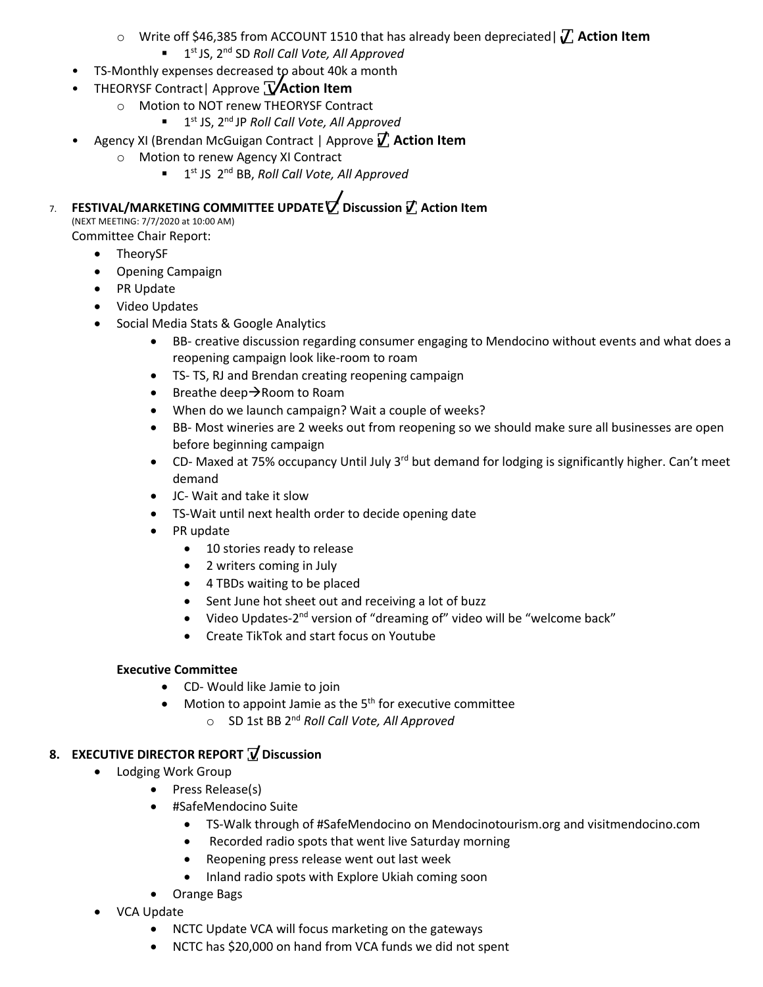- o Write off \$46,385 from ACCOUNT 1510 that has already been depreciated| **꙱ Action Item**
	- § 1st JS, 2nd SD *Roll Call Vote, All Approved*
- TS-Monthly expenses decreased to about 40k a month
- THEORYSF Contract| Approve **꙱ Action Item**
	- o Motion to NOT renew THEORYSF Contract
		- 1<sup>st</sup> JS, 2<sup>nd</sup> JP *Roll Call Vote, All Approved*
	- Agency XI (Brendan McGuigan Contract | Approve **꙱ Action Item**
		- o Motion to renew Agency XI Contract
			- 1<sup>st</sup> JS 2<sup>nd</sup> BB, *Roll Call Vote, All Approved*

7. **FESTIVAL/MARKETING COMMITTEE UPDATE ꙱ Discussion ꙱ Action Item**

(NEXT MEETING: 7/7/2020 at 10:00 AM) Committee Chair Report:

- TheorySF
- Opening Campaign
- PR Update
- Video Updates
- Social Media Stats & Google Analytics
	- BB- creative discussion regarding consumer engaging to Mendocino without events and what does a reopening campaign look like-room to roam
	- TS- TS, RJ and Brendan creating reopening campaign
	- Breathe deep $\rightarrow$ Room to Roam
	- When do we launch campaign? Wait a couple of weeks?
	- BB- Most wineries are 2 weeks out from reopening so we should make sure all businesses are open before beginning campaign
	- CD- Maxed at 75% occupancy Until July 3<sup>rd</sup> but demand for lodging is significantly higher. Can't meet demand
	- JC- Wait and take it slow
	- TS-Wait until next health order to decide opening date
	- PR update
		- 10 stories ready to release
		- 2 writers coming in July
		- 4 TBDs waiting to be placed
		- Sent June hot sheet out and receiving a lot of buzz
		- Video Updates-2<sup>nd</sup> version of "dreaming of" video will be "welcome back"
		- Create TikTok and start focus on Youtube

## **Executive Committee**

- CD- Would like Jamie to join
- Motion to appoint Jamie as the  $5<sup>th</sup>$  for executive committee
	- o SD 1st BB 2nd *Roll Call Vote, All Approved*

# **8. EXECUTIVE DIRECTOR REPORT ꙱ Discussion**

- Lodging Work Group
	- Press Release(s)
	- #SafeMendocino Suite
		- TS-Walk through of #SafeMendocino on Mendocinotourism.org and visitmendocino.com
		- Recorded radio spots that went live Saturday morning
		- Reopening press release went out last week
		- Inland radio spots with Explore Ukiah coming soon
	- Orange Bags
- VCA Update
	- NCTC Update VCA will focus marketing on the gateways
	- NCTC has \$20,000 on hand from VCA funds we did not spent